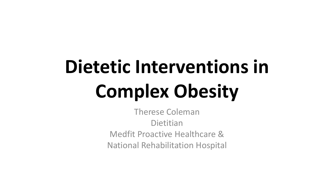# **Dietetic Interventions in Complex Obesity**

Therese Coleman **Dietitian** Medfit Proactive Healthcare & National Rehabilitation Hospital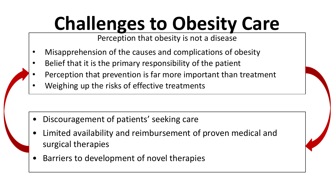# **Challenges to Obesity Care**

Perception that obesity is not a disease

- Misapprehension of the causes and complications of obesity
- Belief that it is the primary responsibility of the patient
- Perception that prevention is far more important than treatment
- Weighing up the risks of effective treatments

- Discouragement of patients' seeking care
- Limited availability and reimbursement of proven medical and surgical therapies
- Barriers to development of novel therapies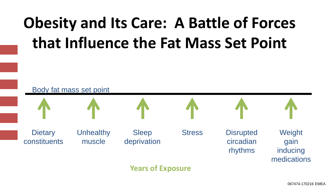### **Obesity and Its Care: A Battle of Forces that Influence the Fat Mass Set Point**



067474-170216 EMEA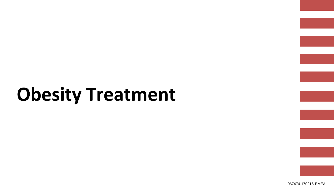# **Obesity Treatment**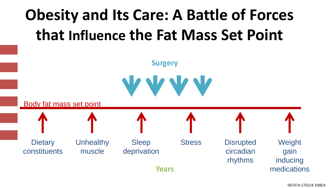

**Years**

**Dietary** constituents

**Unhealthy** muscle

Sleep deprivation

Stress Disrupted circadian rhythms

**Weight** gain inducing medications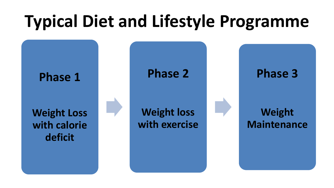### **Typical Diet and Lifestyle Programme**

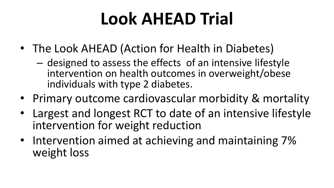### **Look AHEAD Trial**

- The Look AHEAD (Action for Health in Diabetes)
	- designed to assess the effects of an intensive lifestyle intervention on health outcomes in overweight/obese individuals with type 2 diabetes.
- Primary outcome cardiovascular morbidity & mortality
- Largest and longest RCT to date of an intensive lifestyle intervention for weight reduction
- Intervention aimed at achieving and maintaining 7% weight loss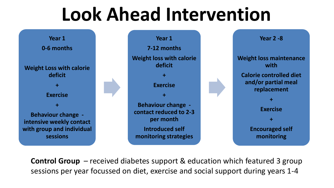### **Look Ahead Intervention**





**Control Group** – received diabetes support & education which featured 3 group sessions per year focussed on diet, exercise and social support during years 1-4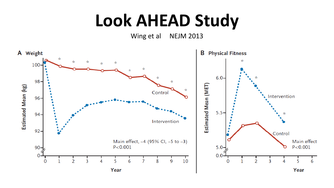### **Look AHEAD Study**

Wing et al NEJM 2013

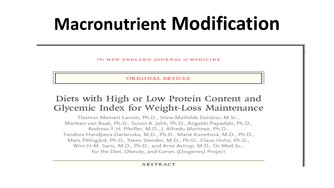### **Macronutrient Modification**

The NEW ENGLAND JOURNAL of MEDICINE

ORIGINAL ARTICLE

#### Diets with High or Low Protein Content and Glycemic Index for Weight-Loss Maintenance

Thomas Meinert Larsen, Ph.D., Stine-Mathilde Dalskov, M.Sc., Marleen van Baak, Ph.D., Susan A. Jebb, Ph.D., Angeliki Papadaki, Ph.D., Andreas F.H. Pfeiffer, M.D., J. Alfredo Martinez, Ph.D., Teodora Handjieva-Darlenska, M.D., Ph.D., Marie Kunešová, M.D., Ph.D., Mats Pihlsgård, Ph.D., Steen Stender, M.D., Ph.D., Claus Holst, Ph.D., Wim H.M. Saris, M.D., Ph.D., and Arne Astrup, M.D., Dr.Med.Sc., for the Diet, Obesity, and Genes (Diogenes) Project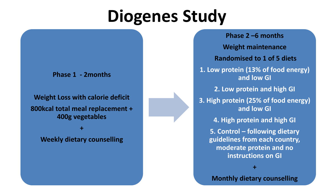### **Diogenes Study**

**Phase 1 - 2months** 

**Weight Loss with calorie deficit 800kcal total meal replacement + 400g vegetables** 

**+** 

**Weekly dietary counselling** 

**Phase 2 –6 months Weight maintenance Randomised to 1 of 5 diets 1. Low protein (13% of food energy) and low GI 2. Low protein and high GI 3. High protein (25% of food energy) and low GI 4. High protein and high GI 5. Control – following dietary guidelines from each country, moderate protein and no instructions on GI +**

**Monthly dietary counselling**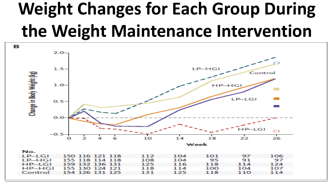# **Weight Changes for Each Group During the Weight Maintenance Intervention**

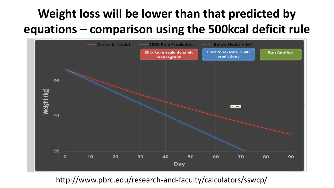### **Weight loss will be lower than that predicted by equations – comparison using the 500kcal deficit rule**



http://www.pbrc.edu/research-and-faculty/calculators/sswcp/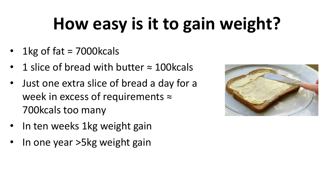# **How easy is it to gain weight?**

- 1 $kg$  of fat = 7000 $k$ cals
- 1 slice of bread with butter  $\approx$  100 kcals
- Just one extra slice of bread a day for a week in excess of requirements  $\approx$ 700kcals too many
- In ten weeks 1kg weight gain
- In one year >5kg weight gain

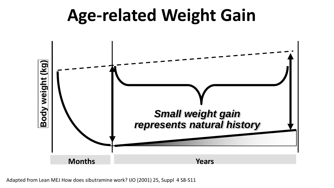### **Age-related Weight Gain**



Adapted from Lean MEJ How does sibutramine work? IJO (2001) 25, Suppl 4 S8-S11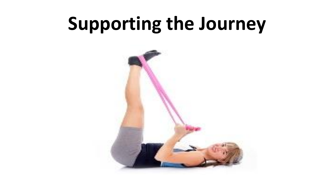# **Supporting the Journey**

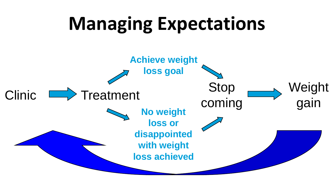